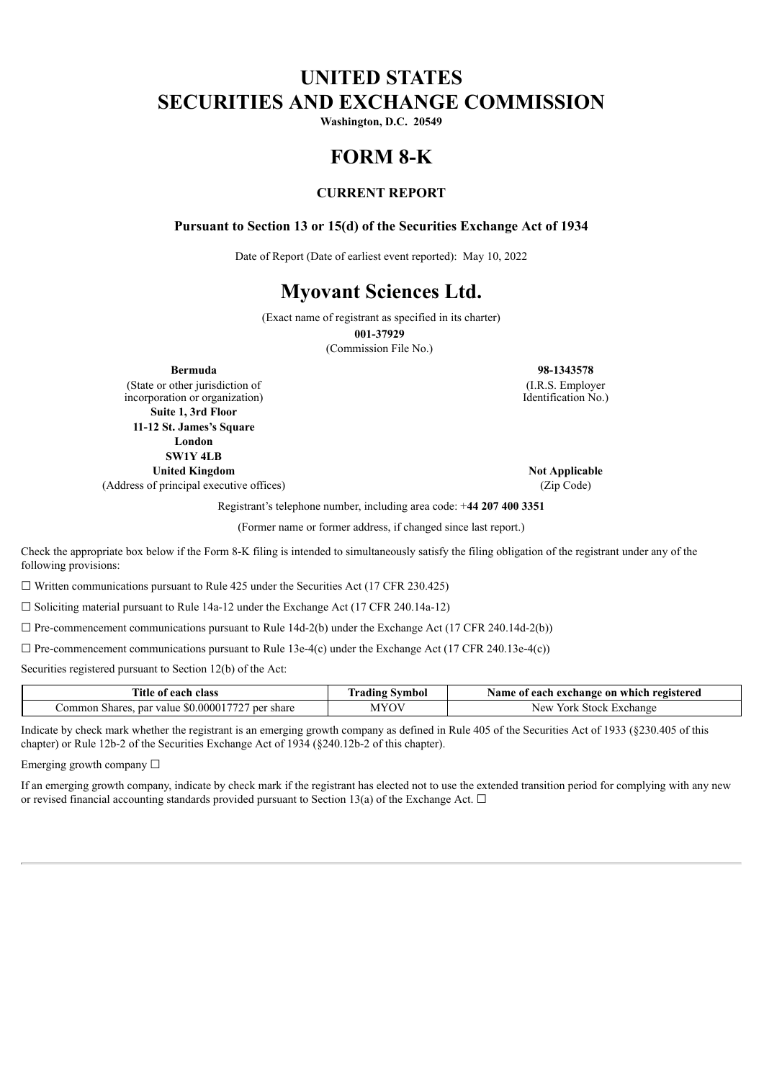# **UNITED STATES SECURITIES AND EXCHANGE COMMISSION**

**Washington, D.C. 20549**

# **FORM 8-K**

# **CURRENT REPORT**

#### **Pursuant to Section 13 or 15(d) of the Securities Exchange Act of 1934**

Date of Report (Date of earliest event reported): May 10, 2022

# **Myovant Sciences Ltd.**

(Exact name of registrant as specified in its charter)

**001-37929**

(Commission File No.)

(State or other jurisdiction of incorporation or organization) **Suite 1, 3rd Floor 11-12 St. James's Square London SW1Y 4LB United Kingdom Not Applicable** 

(Address of principal executive offices) (Zip Code)

**Bermuda 98-1343578** (I.R.S. Employer Identification No.)

Registrant's telephone number, including area code: +**44 207 400 3351**

(Former name or former address, if changed since last report.)

Check the appropriate box below if the Form 8-K filing is intended to simultaneously satisfy the filing obligation of the registrant under any of the following provisions:

 $\Box$  Written communications pursuant to Rule 425 under the Securities Act (17 CFR 230.425)

 $\Box$  Soliciting material pursuant to Rule 14a-12 under the Exchange Act (17 CFR 240.14a-12)

 $\Box$  Pre-commencement communications pursuant to Rule 14d-2(b) under the Exchange Act (17 CFR 240.14d-2(b))

 $\Box$  Pre-commencement communications pursuant to Rule 13e-4(c) under the Exchange Act (17 CFR 240.13e-4(c))

Securities registered pursuant to Section 12(b) of the Act:

| Title of<br>each class                                                   | fradıng<br>Svmbol | Name of each exchange on which registered |  |  |  |  |
|--------------------------------------------------------------------------|-------------------|-------------------------------------------|--|--|--|--|
| $\sim 50.000017727$<br>.`ommon<br>Shares<br>par<br>ner<br>share<br>value | MYOV              | New<br>Exchange<br>York<br>Stock          |  |  |  |  |

Indicate by check mark whether the registrant is an emerging growth company as defined in Rule 405 of the Securities Act of 1933 (§230.405 of this chapter) or Rule 12b-2 of the Securities Exchange Act of 1934 (§240.12b-2 of this chapter).

Emerging growth company ☐

If an emerging growth company, indicate by check mark if the registrant has elected not to use the extended transition period for complying with any new or revised financial accounting standards provided pursuant to Section 13(a) of the Exchange Act.  $\Box$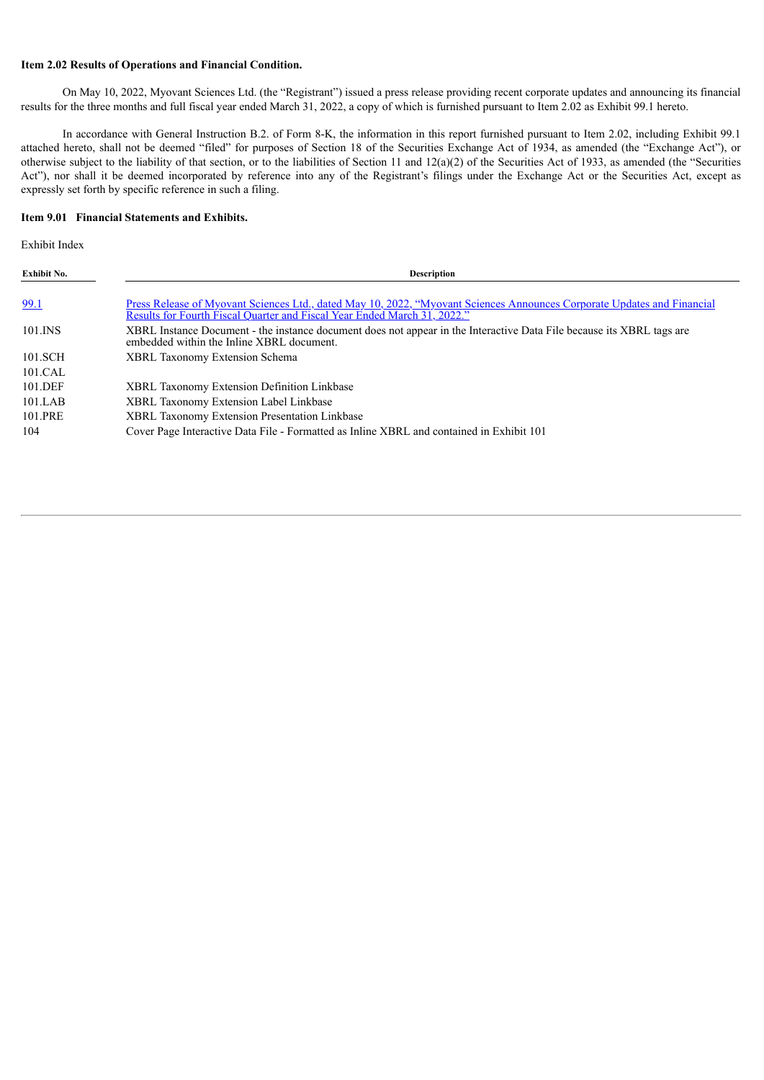#### **Item 2.02 Results of Operations and Financial Condition.**

On May 10, 2022, Myovant Sciences Ltd. (the "Registrant") issued a press release providing recent corporate updates and announcing its financial results for the three months and full fiscal year ended March 31, 2022, a copy of which is furnished pursuant to Item 2.02 as Exhibit 99.1 hereto.

In accordance with General Instruction B.2. of Form 8-K, the information in this report furnished pursuant to Item 2.02, including Exhibit 99.1 attached hereto, shall not be deemed "filed" for purposes of Section 18 of the Securities Exchange Act of 1934, as amended (the "Exchange Act"), or otherwise subject to the liability of that section, or to the liabilities of Section 11 and  $12(a)(2)$  of the Securities Act of 1933, as amended (the "Securities Act"), nor shall it be deemed incorporated by reference into any of the Registrant's filings under the Exchange Act or the Securities Act, except as expressly set forth by specific reference in such a filing.

#### **Item 9.01 Financial Statements and Exhibits.**

Exhibit Index

| Exhibit No.        | <b>Description</b>                                                                                                                                                                                  |
|--------------------|-----------------------------------------------------------------------------------------------------------------------------------------------------------------------------------------------------|
| 99.1               | Press Release of Myovant Sciences Ltd., dated May 10, 2022, "Myovant Sciences Announces Corporate Updates and Financial<br>Results for Fourth Fiscal Quarter and Fiscal Year Ended March 31, 2022." |
| 101.INS            | XBRL Instance Document - the instance document does not appear in the Interactive Data File because its XBRL tags are<br>embedded within the Inline XBRL document.                                  |
| 101.SCH<br>101.CAL | <b>XBRL Taxonomy Extension Schema</b>                                                                                                                                                               |
| 101.DEF            | <b>XBRL Taxonomy Extension Definition Linkbase</b>                                                                                                                                                  |
| 101.LAB            | <b>XBRL Taxonomy Extension Label Linkbase</b>                                                                                                                                                       |
| 101.PRE            | XBRL Taxonomy Extension Presentation Linkbase                                                                                                                                                       |
| 104                | Cover Page Interactive Data File - Formatted as Inline XBRL and contained in Exhibit 101                                                                                                            |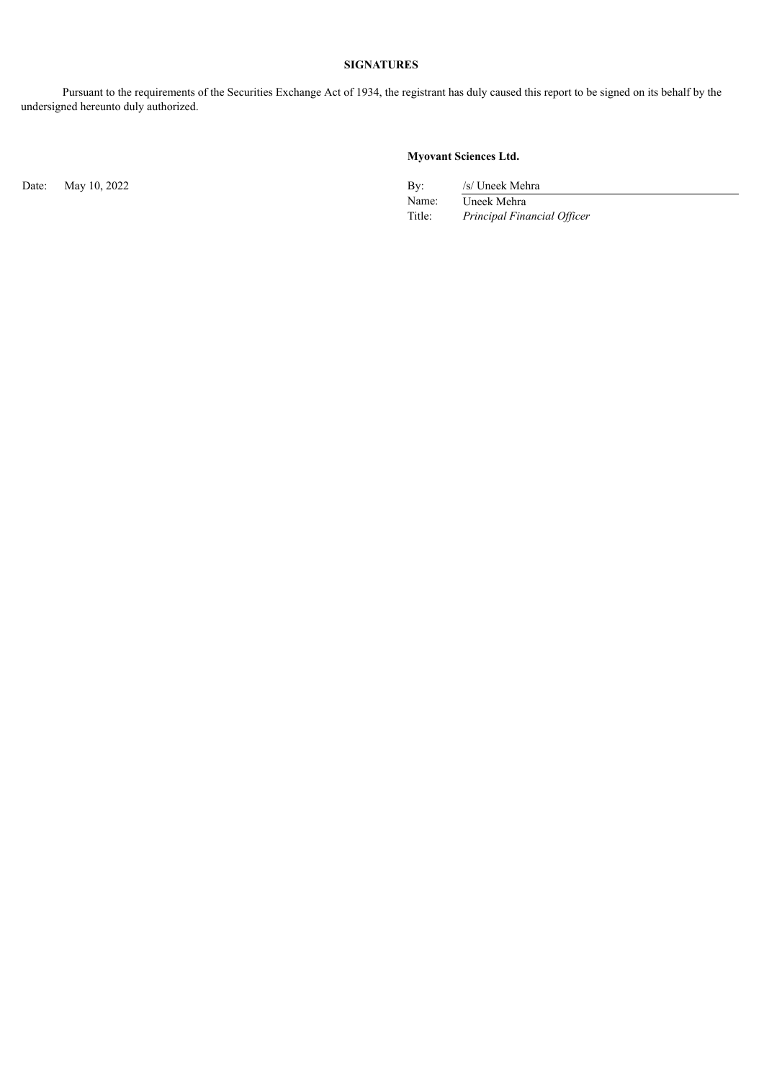# **SIGNATURES**

Pursuant to the requirements of the Securities Exchange Act of 1934, the registrant has duly caused this report to be signed on its behalf by the undersigned hereunto duly authorized.

# **Myovant Sciences Ltd.**

Date: May 10, 2022 By: /s/ Uneek Mehra

Name: Uneek Mehra Title: *Principal Financial Of icer*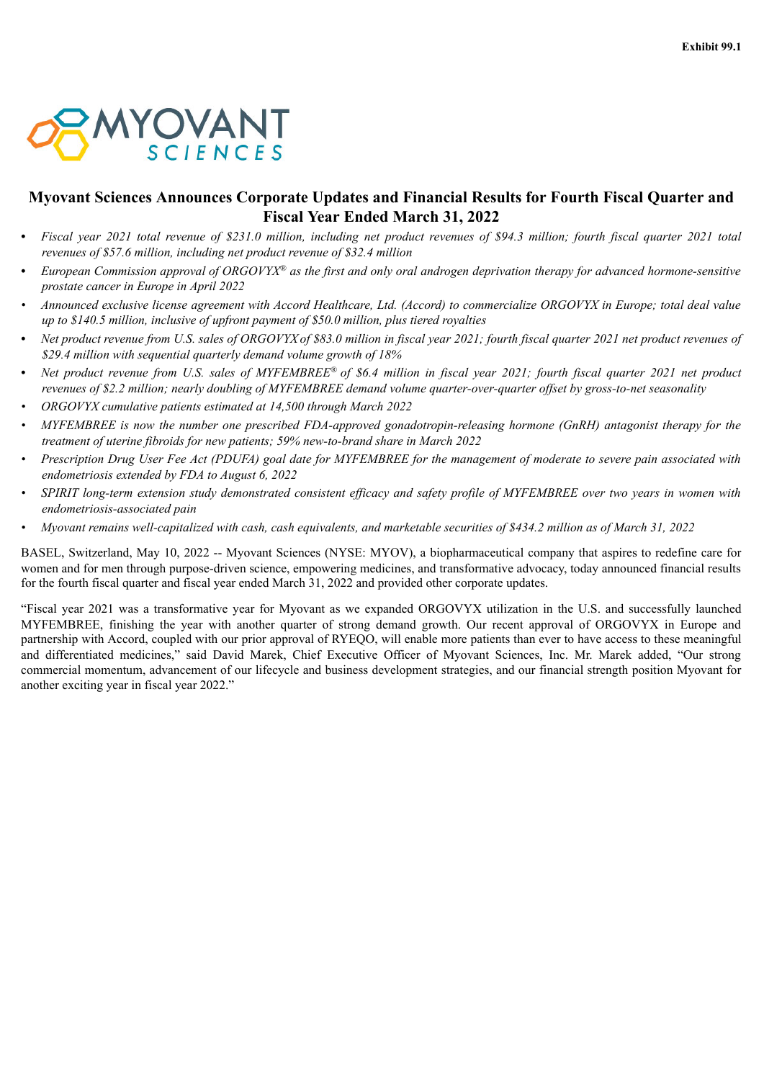<span id="page-3-0"></span>

# **Myovant Sciences Announces Corporate Updates and Financial Results for Fourth Fiscal Quarter and Fiscal Year Ended March 31, 2022**

- Fiscal year 2021 total revenue of \$231.0 million, including net product revenues of \$94.3 million; fourth fiscal quarter 2021 total *revenues of \$57.6 million, including net product revenue of \$32.4 million*
- European Commission approval of ORGOVYX<sup>®</sup> as the first and only oral androgen deprivation therapy for advanced hormone-sensitive *prostate cancer in Europe in April 2022*
- Announced exclusive license agreement with Accord Healthcare, Ltd. (Accord) to commercialize ORGOVYX in Europe; total deal value *up to \$140.5 million, inclusive of upfront payment of \$50.0 million, plus tiered royalties*
- Net product revenue from U.S. sales of ORGOVYX of \$83.0 million in fiscal year 2021; fourth fiscal quarter 2021 net product revenues of *\$29.4 million with sequential quarterly demand volume growth of 18%*
- Net product revenue from U.S. sales of MYFEMBREE® of \$6.4 million in fiscal year 2021; fourth fiscal quarter 2021 net product revenues of \$2.2 million; nearly doubling of MYFEMBREE demand volume quarter-over-quarter offset by gross-to-net seasonality
- *• ORGOVYX cumulative patients estimated at 14,500 through March 2022*
- MYFEMBREE is now the number one prescribed FDA-approved gonadotropin-releasing hormone (GnRH) antagonist therapy for the *treatment of uterine fibroids for new patients; 59% new-to-brand share in March 2022*
- Prescription Drug User Fee Act (PDUFA) goal date for MYFEMBREE for the management of moderate to severe pain associated with *endometriosis extended by FDA to August 6, 2022*
- SPIRIT long-term extension study demonstrated consistent efficacy and safety profile of MYFEMBREE over two years in women with *endometriosis-associated pain*
- Myovant remains well-capitalized with cash, cash equivalents, and marketable securities of \$434.2 million as of March 31, 2022

BASEL, Switzerland, May 10, 2022 -- Myovant Sciences (NYSE: MYOV), a biopharmaceutical company that aspires to redefine care for women and for men through purpose-driven science, empowering medicines, and transformative advocacy, today announced financial results for the fourth fiscal quarter and fiscal year ended March 31, 2022 and provided other corporate updates.

"Fiscal year 2021 was a transformative year for Myovant as we expanded ORGOVYX utilization in the U.S. and successfully launched MYFEMBREE, finishing the year with another quarter of strong demand growth. Our recent approval of ORGOVYX in Europe and partnership with Accord, coupled with our prior approval of RYEQO, will enable more patients than ever to have access to these meaningful and differentiated medicines," said David Marek, Chief Executive Officer of Myovant Sciences, Inc. Mr. Marek added, "Our strong commercial momentum, advancement of our lifecycle and business development strategies, and our financial strength position Myovant for another exciting year in fiscal year 2022."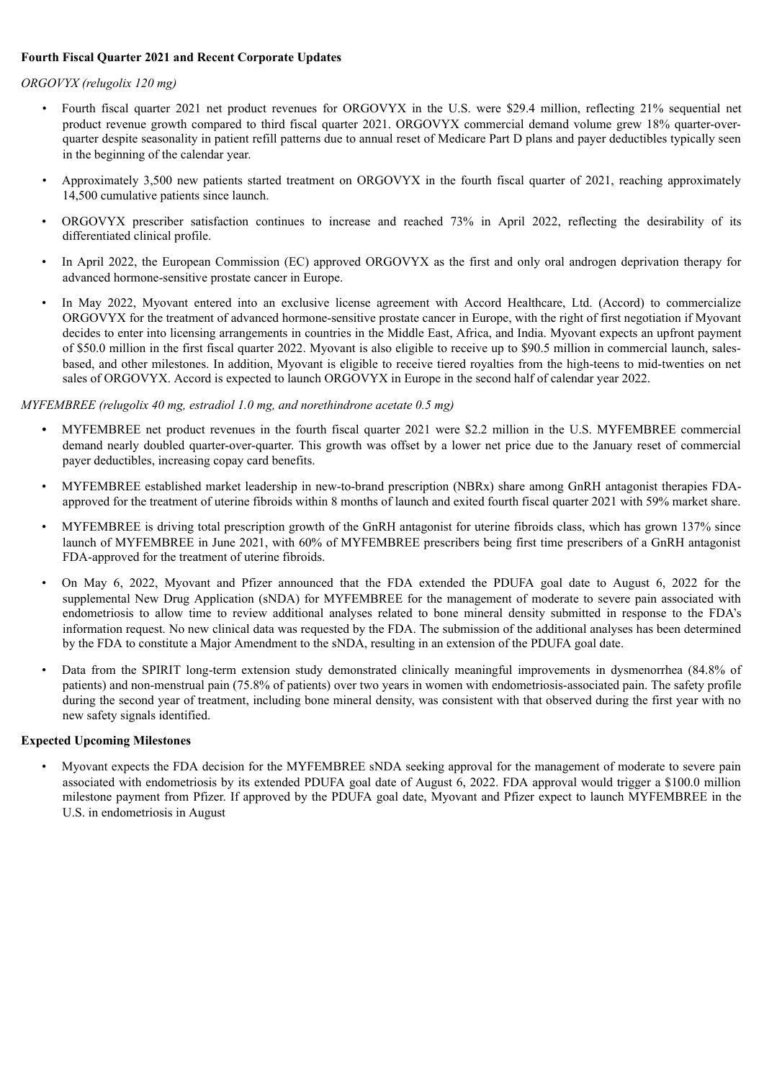### **Fourth Fiscal Quarter 2021 and Recent Corporate Updates**

#### *ORGOVYX (relugolix 120 mg)*

- *•* Fourth fiscal quarter 2021 net product revenues for ORGOVYX in the U.S. were \$29.4 million, reflecting 21% sequential net product revenue growth compared to third fiscal quarter 2021. ORGOVYX commercial demand volume grew 18% quarter-overquarter despite seasonality in patient refill patterns due to annual reset of Medicare Part D plans and payer deductibles typically seen in the beginning of the calendar year.
- *•* Approximately 3,500 new patients started treatment on ORGOVYX in the fourth fiscal quarter of 2021, reaching approximately 14,500 cumulative patients since launch.
- ORGOVYX prescriber satisfaction continues to increase and reached 73% in April 2022, reflecting the desirability of its differentiated clinical profile.
- In April 2022, the European Commission (EC) approved ORGOVYX as the first and only oral androgen deprivation therapy for advanced hormone-sensitive prostate cancer in Europe.
- In May 2022, Myovant entered into an exclusive license agreement with Accord Healthcare, Ltd. (Accord) to commercialize ORGOVYX for the treatment of advanced hormone-sensitive prostate cancer in Europe, with the right of first negotiation if Myovant decides to enter into licensing arrangements in countries in the Middle East, Africa, and India. Myovant expects an upfront payment of \$50.0 million in the first fiscal quarter 2022. Myovant is also eligible to receive up to \$90.5 million in commercial launch, salesbased, and other milestones. In addition, Myovant is eligible to receive tiered royalties from the high-teens to mid-twenties on net sales of ORGOVYX. Accord is expected to launch ORGOVYX in Europe in the second half of calendar year 2022.

#### *MYFEMBREE (relugolix 40 mg, estradiol 1.0 mg, and norethindrone acetate 0.5 mg)*

- *•* MYFEMBREE net product revenues in the fourth fiscal quarter 2021 were \$2.2 million in the U.S. MYFEMBREE commercial demand nearly doubled quarter-over-quarter. This growth was offset by a lower net price due to the January reset of commercial payer deductibles, increasing copay card benefits.
- MYFEMBREE established market leadership in new-to-brand prescription (NBRx) share among GnRH antagonist therapies FDAapproved for the treatment of uterine fibroids within 8 months of launch and exited fourth fiscal quarter 2021 with 59% market share.
- MYFEMBREE is driving total prescription growth of the GnRH antagonist for uterine fibroids class, which has grown 137% since launch of MYFEMBREE in June 2021, with 60% of MYFEMBREE prescribers being first time prescribers of a GnRH antagonist FDA-approved for the treatment of uterine fibroids.
- On May 6, 2022, Myovant and Pfizer announced that the FDA extended the PDUFA goal date to August 6, 2022 for the supplemental New Drug Application (sNDA) for MYFEMBREE for the management of moderate to severe pain associated with endometriosis to allow time to review additional analyses related to bone mineral density submitted in response to the FDA's information request. No new clinical data was requested by the FDA. The submission of the additional analyses has been determined by the FDA to constitute a Major Amendment to the sNDA, resulting in an extension of the PDUFA goal date.
- Data from the SPIRIT long-term extension study demonstrated clinically meaningful improvements in dysmenorrhea (84.8% of patients) and non-menstrual pain (75.8% of patients) over two years in women with endometriosis-associated pain. The safety profile during the second year of treatment, including bone mineral density, was consistent with that observed during the first year with no new safety signals identified.

#### **Expected Upcoming Milestones**

• Myovant expects the FDA decision for the MYFEMBREE sNDA seeking approval for the management of moderate to severe pain associated with endometriosis by its extended PDUFA goal date of August 6, 2022. FDA approval would trigger a \$100.0 million milestone payment from Pfizer. If approved by the PDUFA goal date, Myovant and Pfizer expect to launch MYFEMBREE in the U.S. in endometriosis in August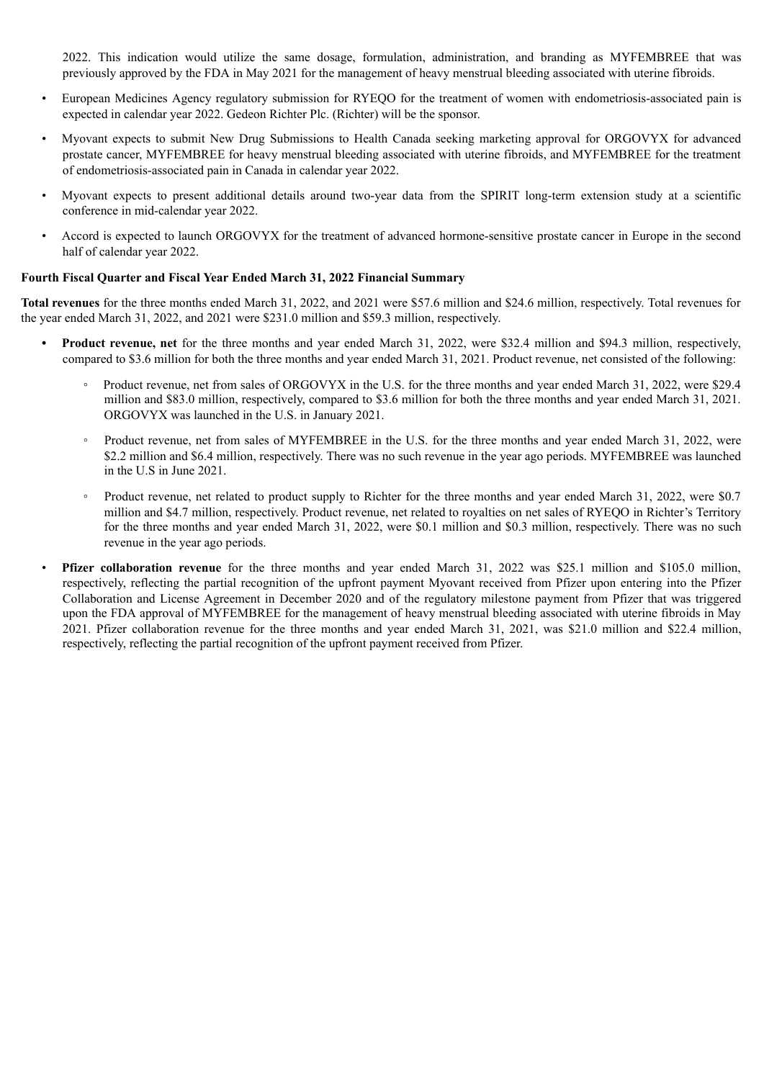2022. This indication would utilize the same dosage, formulation, administration, and branding as MYFEMBREE that was previously approved by the FDA in May 2021 for the management of heavy menstrual bleeding associated with uterine fibroids.

- European Medicines Agency regulatory submission for RYEQO for the treatment of women with endometriosis-associated pain is expected in calendar year 2022. Gedeon Richter Plc. (Richter) will be the sponsor.
- Myovant expects to submit New Drug Submissions to Health Canada seeking marketing approval for ORGOVYX for advanced prostate cancer, MYFEMBREE for heavy menstrual bleeding associated with uterine fibroids, and MYFEMBREE for the treatment of endometriosis-associated pain in Canada in calendar year 2022.
- Myovant expects to present additional details around two-year data from the SPIRIT long-term extension study at a scientific conference in mid-calendar year 2022.
- Accord is expected to launch ORGOVYX for the treatment of advanced hormone-sensitive prostate cancer in Europe in the second half of calendar year 2022.

#### **Fourth Fiscal Quarter and Fiscal Year Ended March 31, 2022 Financial Summary**

**Total revenues** for the three months ended March 31, 2022, and 2021 were \$57.6 million and \$24.6 million, respectively. Total revenues for the year ended March 31, 2022, and 2021 were \$231.0 million and \$59.3 million, respectively.

- **• Product revenue, net** for the three months and year ended March 31, 2022, were \$32.4 million and \$94.3 million, respectively, compared to \$3.6 million for both the three months and year ended March 31, 2021. Product revenue, net consisted of the following:
	- Product revenue, net from sales of ORGOVYX in the U.S. for the three months and year ended March 31, 2022, were \$29.4 million and \$83.0 million, respectively, compared to \$3.6 million for both the three months and year ended March 31, 2021. ORGOVYX was launched in the U.S. in January 2021.
	- Product revenue, net from sales of MYFEMBREE in the U.S. for the three months and year ended March 31, 2022, were \$2.2 million and \$6.4 million, respectively. There was no such revenue in the year ago periods. MYFEMBREE was launched in the U.S in June 2021.
	- Product revenue, net related to product supply to Richter for the three months and year ended March 31, 2022, were \$0.7 million and \$4.7 million, respectively. Product revenue, net related to royalties on net sales of RYEQO in Richter's Territory for the three months and year ended March 31, 2022, were \$0.1 million and \$0.3 million, respectively. There was no such revenue in the year ago periods.
- **Pfizer collaboration revenue** for the three months and year ended March 31, 2022 was \$25.1 million and \$105.0 million, respectively, reflecting the partial recognition of the upfront payment Myovant received from Pfizer upon entering into the Pfizer Collaboration and License Agreement in December 2020 and of the regulatory milestone payment from Pfizer that was triggered upon the FDA approval of MYFEMBREE for the management of heavy menstrual bleeding associated with uterine fibroids in May 2021. Pfizer collaboration revenue for the three months and year ended March 31, 2021, was \$21.0 million and \$22.4 million, respectively, reflecting the partial recognition of the upfront payment received from Pfizer.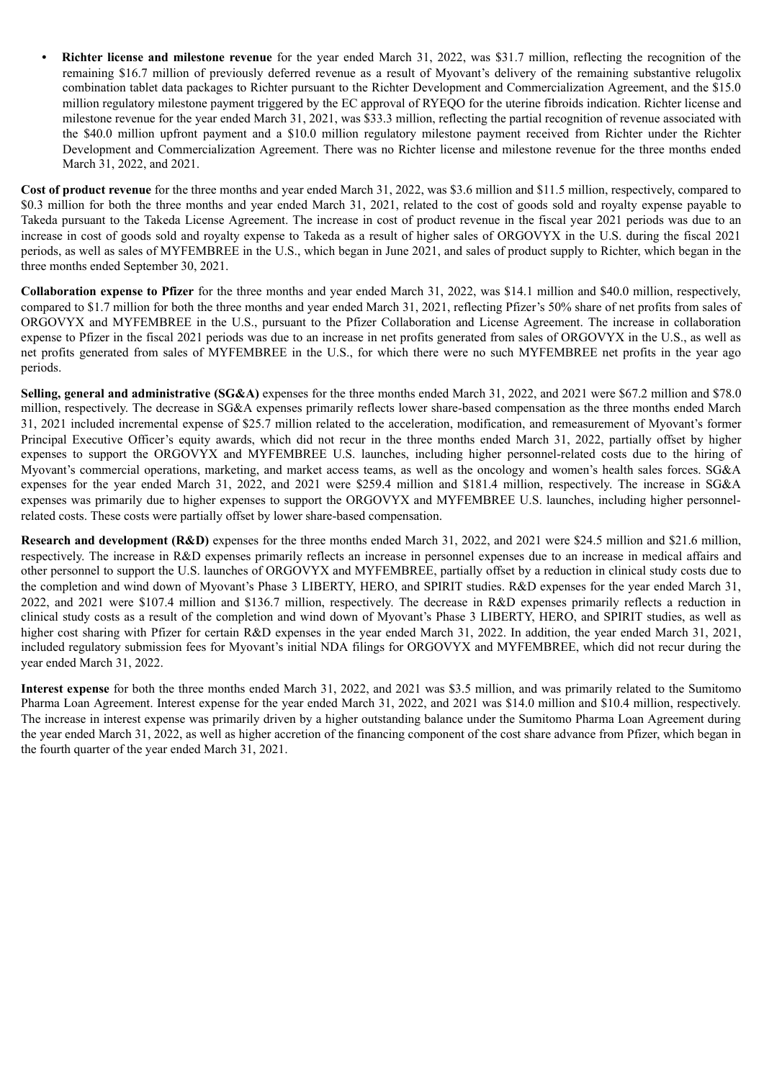*•* **Richter license and milestone revenue** for the year ended March 31, 2022, was \$31.7 million, reflecting the recognition of the remaining \$16.7 million of previously deferred revenue as a result of Myovant's delivery of the remaining substantive relugolix combination tablet data packages to Richter pursuant to the Richter Development and Commercialization Agreement, and the \$15.0 million regulatory milestone payment triggered by the EC approval of RYEQO for the uterine fibroids indication. Richter license and milestone revenue for the year ended March 31, 2021, was \$33.3 million, reflecting the partial recognition of revenue associated with the \$40.0 million upfront payment and a \$10.0 million regulatory milestone payment received from Richter under the Richter Development and Commercialization Agreement. There was no Richter license and milestone revenue for the three months ended March 31, 2022, and 2021.

**Cost of product revenue** for the three months and year ended March 31, 2022, was \$3.6 million and \$11.5 million, respectively, compared to \$0.3 million for both the three months and year ended March 31, 2021, related to the cost of goods sold and royalty expense payable to Takeda pursuant to the Takeda License Agreement. The increase in cost of product revenue in the fiscal year 2021 periods was due to an increase in cost of goods sold and royalty expense to Takeda as a result of higher sales of ORGOVYX in the U.S. during the fiscal 2021 periods, as well as sales of MYFEMBREE in the U.S., which began in June 2021, and sales of product supply to Richter, which began in the three months ended September 30, 2021.

**Collaboration expense to Pfizer** for the three months and year ended March 31, 2022, was \$14.1 million and \$40.0 million, respectively, compared to \$1.7 million for both the three months and year ended March 31, 2021, reflecting Pfizer's 50% share of net profits from sales of ORGOVYX and MYFEMBREE in the U.S., pursuant to the Pfizer Collaboration and License Agreement. The increase in collaboration expense to Pfizer in the fiscal 2021 periods was due to an increase in net profits generated from sales of ORGOVYX in the U.S., as well as net profits generated from sales of MYFEMBREE in the U.S., for which there were no such MYFEMBREE net profits in the year ago periods.

**Selling, general and administrative (SG&A)** expenses for the three months ended March 31, 2022, and 2021 were \$67.2 million and \$78.0 million, respectively. The decrease in SG&A expenses primarily reflects lower share-based compensation as the three months ended March 31, 2021 included incremental expense of \$25.7 million related to the acceleration, modification, and remeasurement of Myovant's former Principal Executive Officer's equity awards, which did not recur in the three months ended March 31, 2022, partially offset by higher expenses to support the ORGOVYX and MYFEMBREE U.S. launches, including higher personnel-related costs due to the hiring of Myovant's commercial operations, marketing, and market access teams, as well as the oncology and women's health sales forces. SG&A expenses for the year ended March 31, 2022, and 2021 were \$259.4 million and \$181.4 million, respectively. The increase in SG&A expenses was primarily due to higher expenses to support the ORGOVYX and MYFEMBREE U.S. launches, including higher personnelrelated costs. These costs were partially offset by lower share-based compensation.

**Research and development (R&D)** expenses for the three months ended March 31, 2022, and 2021 were \$24.5 million and \$21.6 million, respectively. The increase in R&D expenses primarily reflects an increase in personnel expenses due to an increase in medical affairs and other personnel to support the U.S. launches of ORGOVYX and MYFEMBREE, partially offset by a reduction in clinical study costs due to the completion and wind down of Myovant's Phase 3 LIBERTY, HERO, and SPIRIT studies. R&D expenses for the year ended March 31, 2022, and 2021 were \$107.4 million and \$136.7 million, respectively. The decrease in R&D expenses primarily reflects a reduction in clinical study costs as a result of the completion and wind down of Myovant's Phase 3 LIBERTY, HERO, and SPIRIT studies, as well as higher cost sharing with Pfizer for certain R&D expenses in the year ended March 31, 2022. In addition, the year ended March 31, 2021, included regulatory submission fees for Myovant's initial NDA filings for ORGOVYX and MYFEMBREE, which did not recur during the year ended March 31, 2022.

**Interest expense** for both the three months ended March 31, 2022, and 2021 was \$3.5 million, and was primarily related to the Sumitomo Pharma Loan Agreement. Interest expense for the year ended March 31, 2022, and 2021 was \$14.0 million and \$10.4 million, respectively. The increase in interest expense was primarily driven by a higher outstanding balance under the Sumitomo Pharma Loan Agreement during the year ended March 31, 2022, as well as higher accretion of the financing component of the cost share advance from Pfizer, which began in the fourth quarter of the year ended March 31, 2021.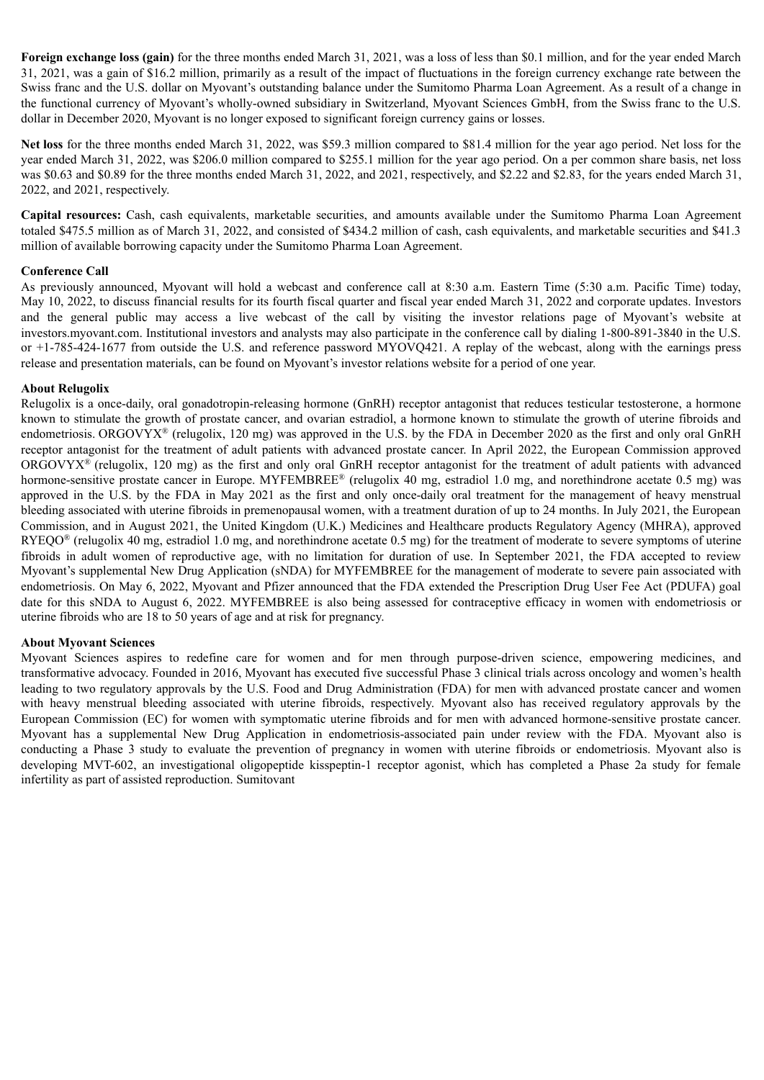**Foreign exchange loss (gain)** for the three months ended March 31, 2021, was a loss of less than \$0.1 million, and for the year ended March 31, 2021, was a gain of \$16.2 million, primarily as a result of the impact of fluctuations in the foreign currency exchange rate between the Swiss franc and the U.S. dollar on Myovant's outstanding balance under the Sumitomo Pharma Loan Agreement. As a result of a change in the functional currency of Myovant's wholly-owned subsidiary in Switzerland, Myovant Sciences GmbH, from the Swiss franc to the U.S. dollar in December 2020, Myovant is no longer exposed to significant foreign currency gains or losses.

**Net loss** for the three months ended March 31, 2022, was \$59.3 million compared to \$81.4 million for the year ago period. Net loss for the year ended March 31, 2022, was \$206.0 million compared to \$255.1 million for the year ago period. On a per common share basis, net loss was \$0.63 and \$0.89 for the three months ended March 31, 2022, and 2021, respectively, and \$2.22 and \$2.83, for the years ended March 31, 2022, and 2021, respectively.

**Capital resources:** Cash, cash equivalents, marketable securities, and amounts available under the Sumitomo Pharma Loan Agreement totaled \$475.5 million as of March 31, 2022, and consisted of \$434.2 million of cash, cash equivalents, and marketable securities and \$41.3 million of available borrowing capacity under the Sumitomo Pharma Loan Agreement.

#### **Conference Call**

As previously announced, Myovant will hold a webcast and conference call at 8:30 a.m. Eastern Time (5:30 a.m. Pacific Time) today, May 10, 2022, to discuss financial results for its fourth fiscal quarter and fiscal year ended March 31, 2022 and corporate updates. Investors and the general public may access a live webcast of the call by visiting the investor relations page of Myovant's website at investors.myovant.com. Institutional investors and analysts may also participate in the conference call by dialing 1-800-891-3840 in the U.S. or +1-785-424-1677 from outside the U.S. and reference password MYOVQ421. A replay of the webcast, along with the earnings press release and presentation materials, can be found on Myovant's investor relations website for a period of one year.

# **About Relugolix**

Relugolix is a once-daily, oral gonadotropin-releasing hormone (GnRH) receptor antagonist that reduces testicular testosterone, a hormone known to stimulate the growth of prostate cancer, and ovarian estradiol, a hormone known to stimulate the growth of uterine fibroids and endometriosis. ORGOVYX<sup>®</sup> (relugolix, 120 mg) was approved in the U.S. by the FDA in December 2020 as the first and only oral GnRH receptor antagonist for the treatment of adult patients with advanced prostate cancer. In April 2022, the European Commission approved ORGOVY $X^{\otimes}$  (relugolix, 120 mg) as the first and only oral GnRH receptor antagonist for the treatment of adult patients with advanced hormone-sensitive prostate cancer in Europe. MYFEMBREE® (relugolix 40 mg, estradiol 1.0 mg, and norethindrone acetate 0.5 mg) was approved in the U.S. by the FDA in May 2021 as the first and only once-daily oral treatment for the management of heavy menstrual bleeding associated with uterine fibroids in premenopausal women, with a treatment duration of up to 24 months. In July 2021, the European Commission, and in August 2021, the United Kingdom (U.K.) Medicines and Healthcare products Regulatory Agency (MHRA), approved  $RYEQO<sup>®</sup>$  (relugolix 40 mg, estradiol 1.0 mg, and norethindrone acetate 0.5 mg) for the treatment of moderate to severe symptoms of uterine fibroids in adult women of reproductive age, with no limitation for duration of use. In September 2021, the FDA accepted to review Myovant's supplemental New Drug Application (sNDA) for MYFEMBREE for the management of moderate to severe pain associated with endometriosis. On May 6, 2022, Myovant and Pfizer announced that the FDA extended the Prescription Drug User Fee Act (PDUFA) goal date for this sNDA to August 6, 2022. MYFEMBREE is also being assessed for contraceptive efficacy in women with endometriosis or uterine fibroids who are 18 to 50 years of age and at risk for pregnancy.

# **About Myovant Sciences**

Myovant Sciences aspires to redefine care for women and for men through purpose-driven science, empowering medicines, and transformative advocacy. Founded in 2016, Myovant has executed five successful Phase 3 clinical trials across oncology and women's health leading to two regulatory approvals by the U.S. Food and Drug Administration (FDA) for men with advanced prostate cancer and women with heavy menstrual bleeding associated with uterine fibroids, respectively. Myovant also has received regulatory approvals by the European Commission (EC) for women with symptomatic uterine fibroids and for men with advanced hormone-sensitive prostate cancer. Myovant has a supplemental New Drug Application in endometriosis-associated pain under review with the FDA. Myovant also is conducting a Phase 3 study to evaluate the prevention of pregnancy in women with uterine fibroids or endometriosis. Myovant also is developing MVT-602, an investigational oligopeptide kisspeptin-1 receptor agonist, which has completed a Phase 2a study for female infertility as part of assisted reproduction. Sumitovant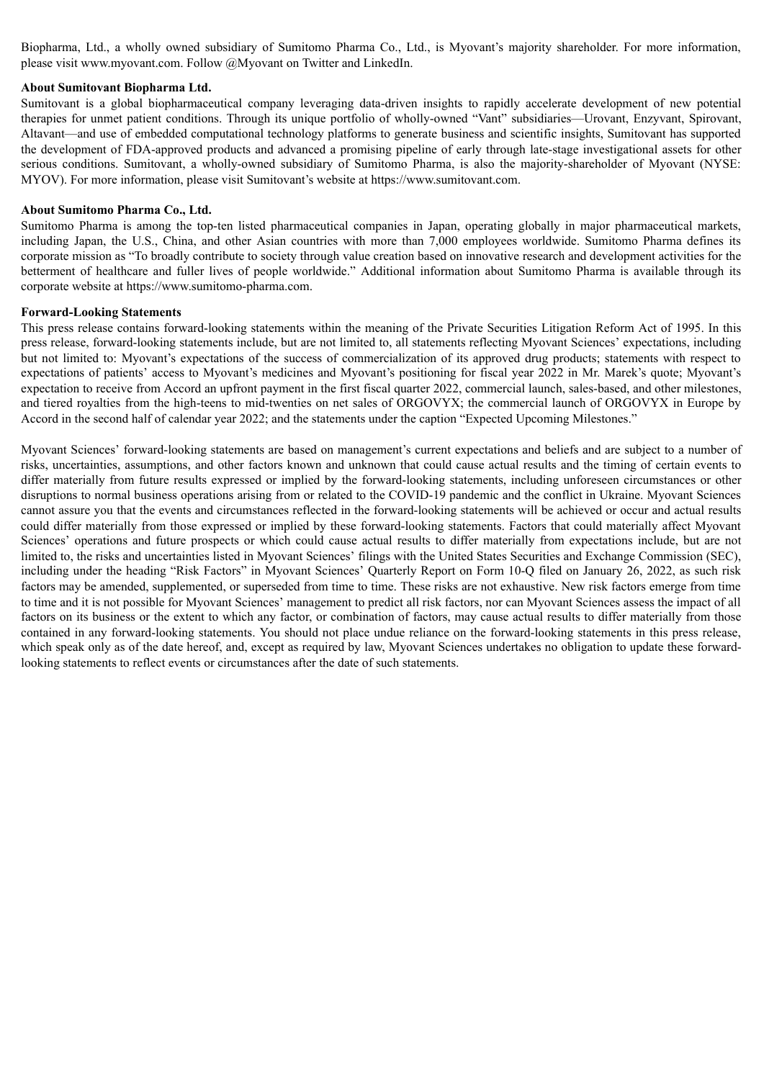Biopharma, Ltd., a wholly owned subsidiary of Sumitomo Pharma Co., Ltd., is Myovant's majority shareholder. For more information, please visit www.myovant.com. Follow @Myovant on Twitter and LinkedIn.

#### **About Sumitovant Biopharma Ltd.**

Sumitovant is a global biopharmaceutical company leveraging data-driven insights to rapidly accelerate development of new potential therapies for unmet patient conditions. Through its unique portfolio of wholly-owned "Vant" subsidiaries—Urovant, Enzyvant, Spirovant, Altavant—and use of embedded computational technology platforms to generate business and scientific insights, Sumitovant has supported the development of FDA-approved products and advanced a promising pipeline of early through late-stage investigational assets for other serious conditions. Sumitovant, a wholly-owned subsidiary of Sumitomo Pharma, is also the majority-shareholder of Myovant (NYSE: MYOV). For more information, please visit Sumitovant's website at https://www.sumitovant.com.

#### **About Sumitomo Pharma Co., Ltd.**

Sumitomo Pharma is among the top-ten listed pharmaceutical companies in Japan, operating globally in major pharmaceutical markets, including Japan, the U.S., China, and other Asian countries with more than 7,000 employees worldwide. Sumitomo Pharma defines its corporate mission as "To broadly contribute to society through value creation based on innovative research and development activities for the betterment of healthcare and fuller lives of people worldwide." Additional information about Sumitomo Pharma is available through its corporate website at https://www.sumitomo-pharma.com.

#### **Forward-Looking Statements**

This press release contains forward-looking statements within the meaning of the Private Securities Litigation Reform Act of 1995. In this press release, forward-looking statements include, but are not limited to, all statements reflecting Myovant Sciences' expectations, including but not limited to: Myovant's expectations of the success of commercialization of its approved drug products; statements with respect to expectations of patients' access to Myovant's medicines and Myovant's positioning for fiscal year 2022 in Mr. Marek's quote; Myovant's expectation to receive from Accord an upfront payment in the first fiscal quarter 2022, commercial launch, sales-based, and other milestones, and tiered royalties from the high-teens to mid-twenties on net sales of ORGOVYX; the commercial launch of ORGOVYX in Europe by Accord in the second half of calendar year 2022; and the statements under the caption "Expected Upcoming Milestones."

Myovant Sciences' forward-looking statements are based on management's current expectations and beliefs and are subject to a number of risks, uncertainties, assumptions, and other factors known and unknown that could cause actual results and the timing of certain events to differ materially from future results expressed or implied by the forward-looking statements, including unforeseen circumstances or other disruptions to normal business operations arising from or related to the COVID-19 pandemic and the conflict in Ukraine. Myovant Sciences cannot assure you that the events and circumstances reflected in the forward-looking statements will be achieved or occur and actual results could differ materially from those expressed or implied by these forward-looking statements. Factors that could materially affect Myovant Sciences' operations and future prospects or which could cause actual results to differ materially from expectations include, but are not limited to, the risks and uncertainties listed in Myovant Sciences' filings with the United States Securities and Exchange Commission (SEC), including under the heading "Risk Factors" in Myovant Sciences' Quarterly Report on Form 10-Q filed on January 26, 2022, as such risk factors may be amended, supplemented, or superseded from time to time. These risks are not exhaustive. New risk factors emerge from time to time and it is not possible for Myovant Sciences' management to predict all risk factors, nor can Myovant Sciences assess the impact of all factors on its business or the extent to which any factor, or combination of factors, may cause actual results to differ materially from those contained in any forward-looking statements. You should not place undue reliance on the forward-looking statements in this press release, which speak only as of the date hereof, and, except as required by law, Myovant Sciences undertakes no obligation to update these forwardlooking statements to reflect events or circumstances after the date of such statements.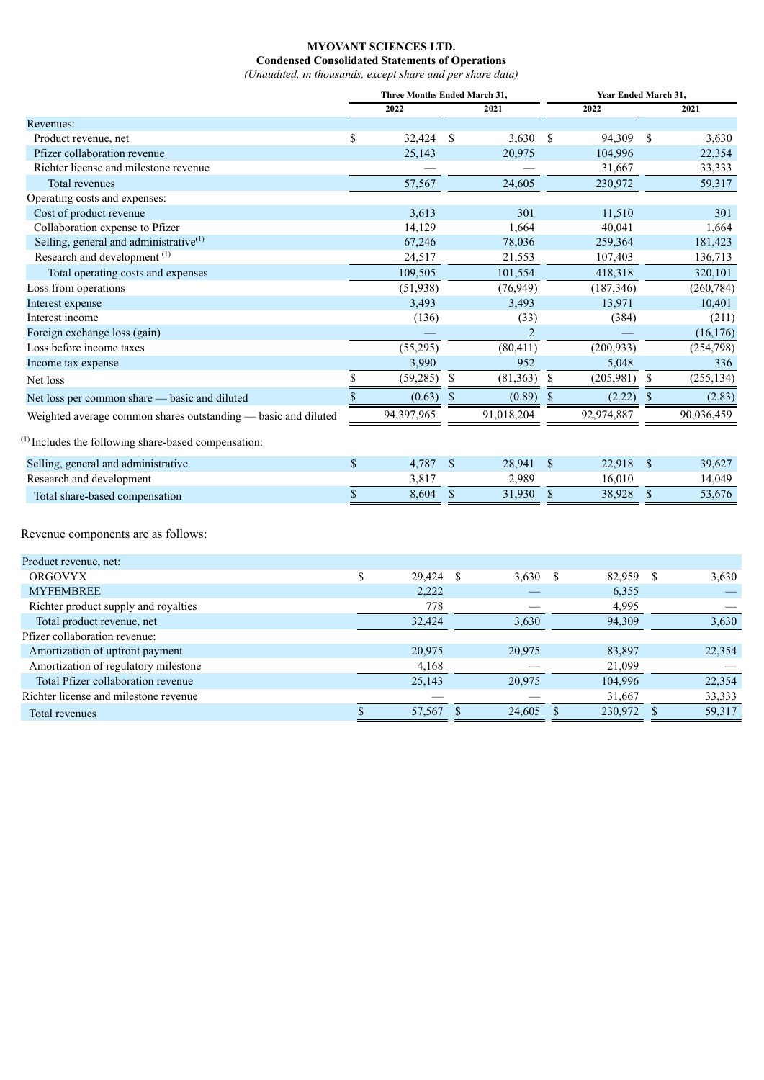# **MYOVANT SCIENCES LTD. Condensed Consolidated Statements of Operations**

*(Unaudited, in thousands, except share and per share data)*

|                                                                 | Three Months Ended March 31, |                |              | Year Ended March 31, |               |            |               |            |
|-----------------------------------------------------------------|------------------------------|----------------|--------------|----------------------|---------------|------------|---------------|------------|
|                                                                 |                              | 2022           |              | 2021                 |               | 2022       |               | 2021       |
| Revenues:                                                       |                              |                |              |                      |               |            |               |            |
| Product revenue, net                                            | \$                           | 32,424         | - S          | $3,630$ \$           |               | 94,309     | \$            | 3,630      |
| Pfizer collaboration revenue                                    |                              | 25,143         |              | 20,975               |               | 104,996    |               | 22,354     |
| Richter license and milestone revenue                           |                              |                |              |                      |               | 31,667     |               | 33,333     |
| Total revenues                                                  |                              | 57,567         |              | 24,605               |               | 230,972    |               | 59,317     |
| Operating costs and expenses:                                   |                              |                |              |                      |               |            |               |            |
| Cost of product revenue                                         |                              | 3,613          |              | 301                  |               | 11,510     |               | 301        |
| Collaboration expense to Pfizer                                 |                              | 14,129         |              | 1,664                |               | 40,041     |               | 1,664      |
| Selling, general and administrative $(1)$                       |                              | 67,246         |              | 78,036               |               | 259,364    |               | 181,423    |
| Research and development <sup>(1)</sup>                         |                              | 24,517         |              | 21,553               |               | 107,403    |               | 136,713    |
| Total operating costs and expenses                              |                              | 109,505        |              | 101,554              |               | 418,318    |               | 320,101    |
| Loss from operations                                            |                              | (51, 938)      |              | (76, 949)            |               | (187, 346) |               | (260, 784) |
| Interest expense                                                |                              | 3,493          |              | 3,493                |               | 13,971     |               | 10,401     |
| Interest income                                                 |                              | (136)          |              | (33)                 |               | (384)      |               | (211)      |
| Foreign exchange loss (gain)                                    |                              |                |              | $\overline{2}$       |               |            |               | (16, 176)  |
| Loss before income taxes                                        |                              | (55, 295)      |              | (80, 411)            |               | (200, 933) |               | (254, 798) |
| Income tax expense                                              |                              | 3,990          |              | 952                  |               | 5,048      |               | 336        |
| Net loss                                                        | \$                           | $(59, 285)$ \$ |              | (81, 363)            | $\$$          | (205,981)  | $\mathbb{S}$  | (255, 134) |
| Net loss per common share - basic and diluted                   | $\boldsymbol{\mathsf{S}}$    | $(0.63)$ \$    |              | $(0.89)$ \$          |               | (2.22)     | <sup>\$</sup> | (2.83)     |
| Weighted average common shares outstanding - basic and diluted  |                              | 94,397,965     |              | 91,018,204           |               | 92,974,887 |               | 90,036,459 |
| <sup>(1)</sup> Includes the following share-based compensation: |                              |                |              |                      |               |            |               |            |
| Selling, general and administrative                             | \$                           | 4,787 \$       |              | 28,941 \$            |               | 22,918 \$  |               | 39,627     |
| Research and development                                        |                              | 3,817          |              | 2,989                |               | 16,010     |               | 14,049     |
| Total share-based compensation                                  | $\$$                         | 8,604          | $\mathbb{S}$ | 31,930               | $\$$          | 38,928     | $\mathbb{S}$  | 53,676     |
| Revenue components are as follows:                              |                              |                |              |                      |               |            |               |            |
| Product revenue, net:                                           |                              |                |              |                      |               |            |               |            |
| <b>ORGOVYX</b>                                                  | \$                           | 29,424         | $\$$         | 3,630                | $\mathcal{S}$ | 82,959     | $\mathcal{S}$ | 3,630      |
| <b>MYFEMBREE</b>                                                |                              | 2,222          |              |                      |               | 6,355      |               |            |
| Richter product supply and royalties                            |                              | 778            |              |                      |               | 4,995      |               |            |
| Total product revenue, net                                      |                              | 32,424         |              | 3,630                |               | 94,309     |               | 3,630      |
| Pfizer collaboration revenue:                                   |                              |                |              |                      |               |            |               |            |
| Amortization of upfront payment                                 |                              | 20,975         |              | 20,975               |               | 83,897     |               | 22,354     |
| Amortization of regulatory milestone                            |                              | 4,168          |              |                      |               | 21,099     |               |            |

Total Pfizer collaboration revenue 25,143 20,975 104,996 22,354 Richter license and milestone revenue  $\frac{-}{\$}$   $\frac{-}{57,567}$   $\frac{-}{\$}$   $\frac{31,667}{230,972}$   $\frac{33,333}{\$}$ <br>Total revenues Total revenues 8 57,567 \$ 24,605 \$ 230,972 \$ 59,317